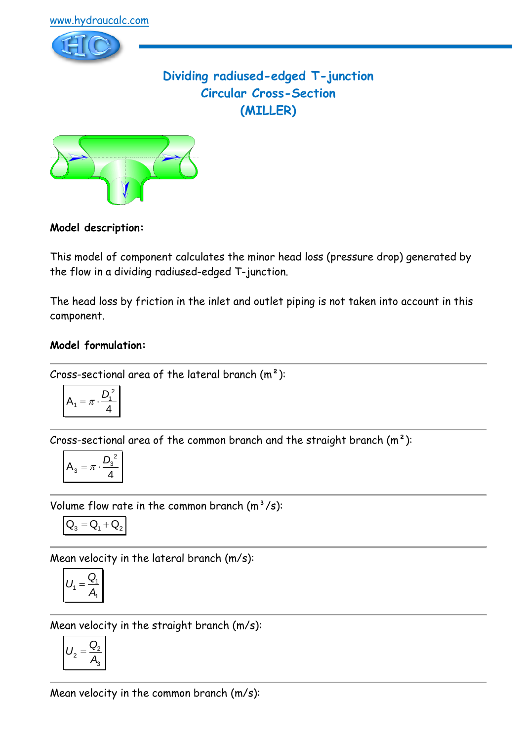

# **Dividing radiused-edged T-junction Circular Cross-Section (MILLER)**



### **Model description:**

This model of component calculates the minor head loss (pressure drop) generated by the flow in a dividing radiused-edged T-junction.

The head loss by friction in the inlet and outlet piping is not taken into account in this component.

## **Model formulation:**

Cross-sectional area of the lateral branch  $(m<sup>2</sup>)$ :

$$
A_1 = \pi \cdot \frac{D_1^2}{4}
$$

Cross-sectional area of the common branch and the straight branch  $(m<sup>2</sup>)$ :

$$
A_3 = \pi \cdot \frac{D_3^2}{4}
$$

Volume flow rate in the common branch  $(m^3/s)$ :

$$
\boxed{\textbf{Q}_3=\textbf{Q}_1+\textbf{Q}_2}
$$

Mean velocity in the lateral branch (m/s):

$$
U_1 = \frac{Q_1}{A_1}
$$

Mean velocity in the straight branch (m/s):

$$
U_2 = \frac{Q_2}{A_3}
$$

Mean velocity in the common branch (m/s):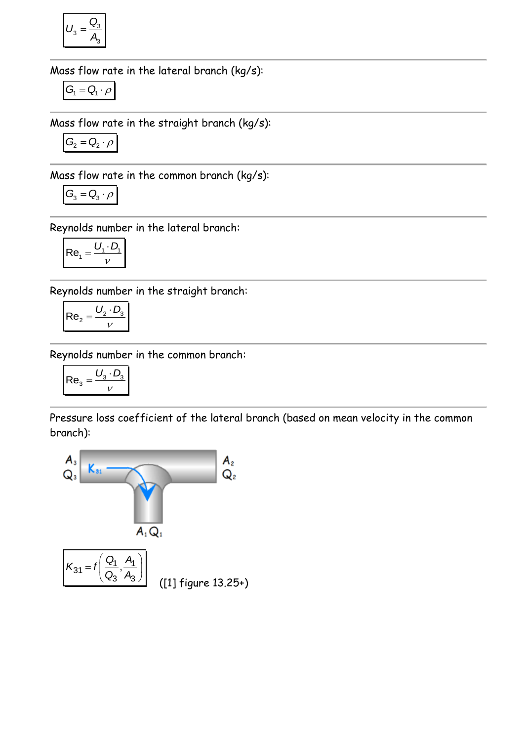$$
U_3 = \frac{Q_3}{A_3}
$$

Mass flow rate in the lateral branch (kg/s):

$$
G_{\!\scriptscriptstyle 1} = Q_{\!\scriptscriptstyle 1} \cdot \rho
$$

Mass flow rate in the straight branch (kg/s):

$$
G_2 = Q_2 \cdot \rho
$$

Mass flow rate in the common branch (kg/s):

$$
G_3 = Q_3 \cdot \rho
$$

Reynolds number in the lateral branch:

$$
Re_1 = \frac{U_1 \cdot D_1}{V}
$$

Reynolds number in the straight branch:

$$
\mathsf{Re}_2 = \frac{U_2 \cdot D_3}{V}
$$

Reynolds number in the common branch:

$$
\mathsf{Re}_3 = \frac{U_3 \cdot D_3}{v}
$$

Pressure loss coefficient of the lateral branch (based on mean velocity in the common branch):

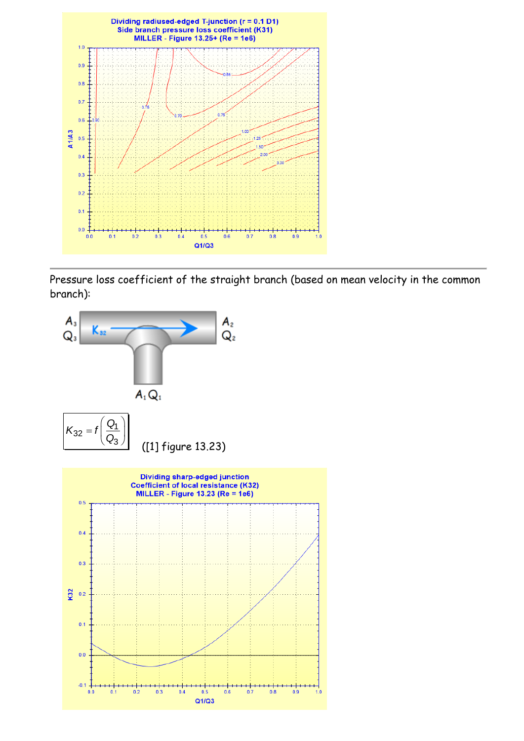

Pressure loss coefficient of the straight branch (based on mean velocity in the common branch):



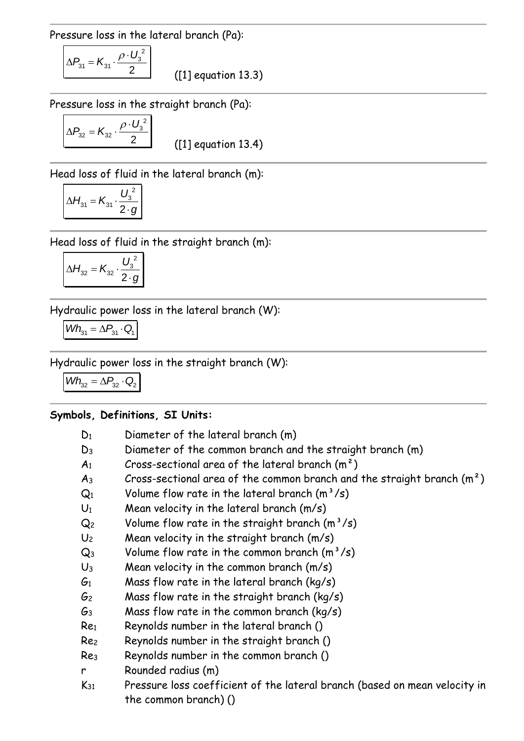Pressure loss in the lateral branch (Pa):

$$
\Delta P_{31} = K_{31} \cdot \frac{\rho \cdot U_3^2}{2}
$$

([1] equation 13.3)

Pressure loss in the straight branch (Pa):

$$
\Delta P_{32} = K_{32} \cdot \frac{\rho \cdot U_3^2}{2}
$$

([1] equation 13.4)

Head loss of fluid in the lateral branch (m):

$$
\Delta H_{31} = K_{31} \cdot \frac{U_3^2}{2 \cdot g}
$$

Head loss of fluid in the straight branch (m):

$$
\Delta H_{32} = K_{32} \cdot \frac{U_3^2}{2 \cdot g}
$$

Hydraulic power loss in the lateral branch (W):

$$
Wh_{31} = \Delta P_{31} \cdot Q_1
$$

Hydraulic power loss in the straight branch (W):

the common branch) ()

 $Wh_{32} = \Delta P_{32} \cdot Q_2$ 

### **Symbols, Definitions, SI Units:**

| $D_1$           | Diameter of the lateral branch (m)                                         |
|-----------------|----------------------------------------------------------------------------|
| $D_3$           | Diameter of the common branch and the straight branch (m)                  |
| A <sub>1</sub>  | Cross-sectional area of the lateral branch $(m2)$                          |
| $A_3$           | Cross-sectional area of the common branch and the straight branch $(m2)$   |
| $Q_1$           | Volume flow rate in the lateral branch $(m^3/s)$                           |
| $U_1$           | Mean velocity in the lateral branch (m/s)                                  |
| Q <sub>2</sub>  | Volume flow rate in the straight branch $(m^3/s)$                          |
| U <sub>2</sub>  | Mean velocity in the straight branch (m/s)                                 |
| $Q_3$           | Volume flow rate in the common branch $(m^3/s)$                            |
| $U_3$           | Mean velocity in the common branch (m/s)                                   |
| $G_1$           | Mass flow rate in the lateral branch (kg/s)                                |
| G2              | Mass flow rate in the straight branch (kg/s)                               |
| G <sub>3</sub>  | Mass flow rate in the common branch $(kq/s)$                               |
| Re <sub>1</sub> | Reynolds number in the lateral branch ()                                   |
| Rez             | Reynolds number in the straight branch ()                                  |
| Re <sub>3</sub> | Reynolds number in the common branch ()                                    |
| r               | Rounded radius (m)                                                         |
| $K_{31}$        | Pressure loss coefficient of the lateral branch (based on mean velocity in |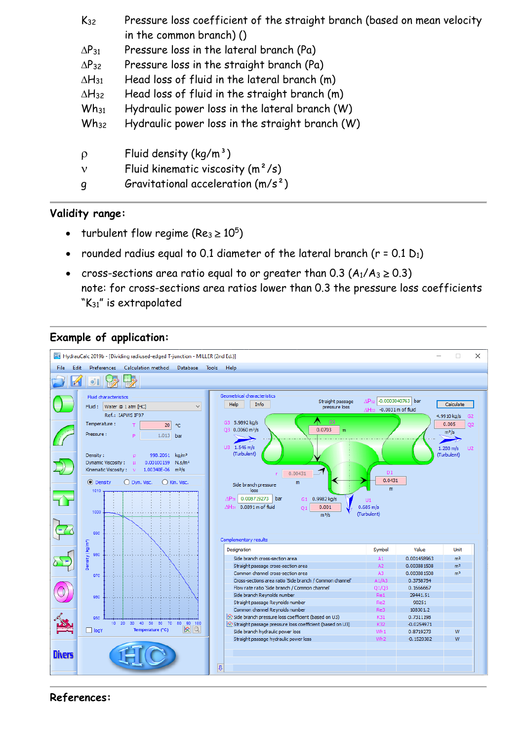| $K_{32}$        | Pressure loss coefficient of the straight branch (based on mean velocity |
|-----------------|--------------------------------------------------------------------------|
|                 | in the common branch) $()$                                               |
| $\Delta P_{31}$ | Pressure loss in the lateral branch (Pa)                                 |
| $\Delta P_{32}$ | Pressure loss in the straight branch (Pa)                                |
| $\Delta H_{31}$ | Head loss of fluid in the lateral branch (m)                             |
| $\Delta H_{32}$ | Head loss of fluid in the straight branch (m)                            |
| $Wh_{31}$       | Hydraulic power loss in the lateral branch (W)                           |
| $Wh_{32}$       | Hydraulic power loss in the straight branch (W)                          |
|                 |                                                                          |
| $\rho$          | Fluid density $(kq/m^3)$                                                 |
| $\mathbf v$     | Fluid kinematic viscosity $(m^2/s)$                                      |
| 9               | Gravitational acceleration $(m/s^2)$                                     |

#### **Validity range:**

- turbulent flow regime (Re<sub>3</sub>  $\geq 10^5$ )
- rounded radius equal to 0.1 diameter of the lateral branch ( $r = 0.1 D_1$ )
- cross-sections area ratio equal to or greater than 0.3  $(A_1/A_3 \ge 0.3)$ note: for cross-sections area ratios lower than 0.3 the pressure loss coefficients "K<sub>31</sub>" is extrapolated

### **Example of application:**